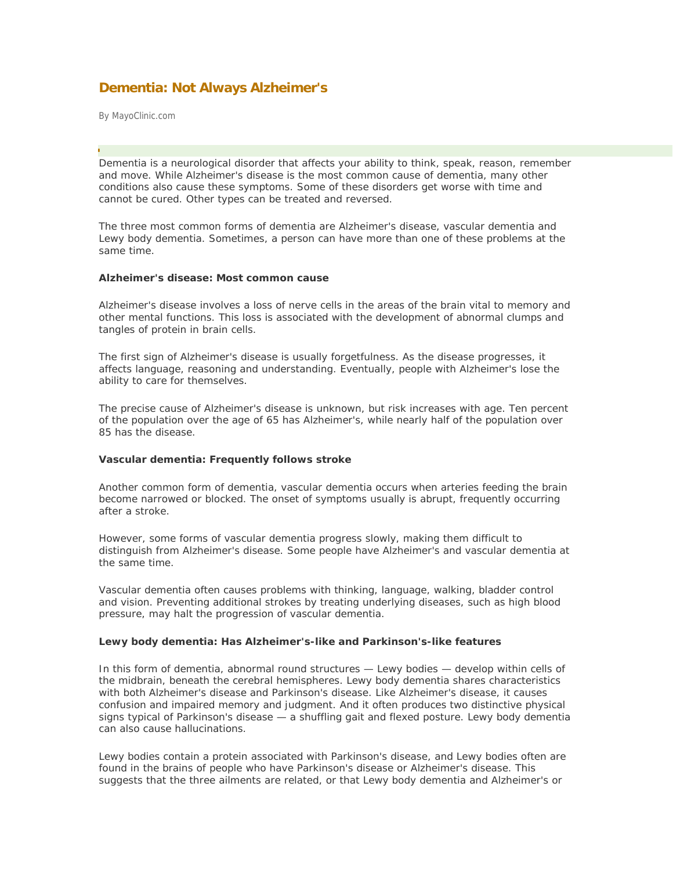# **Dementia: Not Always Alzheimer's**

By MayoClinic.com

Dementia is a neurological disorder that affects your ability to think, speak, reason, remember and move. While Alzheimer's disease is the most common cause of dementia, many other conditions also cause these symptoms. Some of these disorders get worse with time and cannot be cured. Other types can be treated and reversed. ł

The three most common forms of dementia are Alzheimer's disease, vascular dementia and Lewy body dementia. Sometimes, a person can have more than one of these problems at the same time.

#### **Alzheimer's disease: Most common cause**

Alzheimer's disease involves a loss of nerve cells in the areas of the brain vital to memory and other mental functions. This loss is associated with the development of abnormal clumps and tangles of protein in brain cells.

The first sign of Alzheimer's disease is usually forgetfulness. As the disease progresses, it affects language, reasoning and understanding. Eventually, people with Alzheimer's lose the ability to care for themselves.

The precise cause of Alzheimer's disease is unknown, but risk increases with age. Ten percent of the population over the age of 65 has Alzheimer's, while nearly half of the population over 85 has the disease.

### **Vascular dementia: Frequently follows stroke**

Another common form of dementia, vascular dementia occurs when arteries feeding the brain become narrowed or blocked. The onset of symptoms usually is abrupt, frequently occurring after a stroke.

However, some forms of vascular dementia progress slowly, making them difficult to distinguish from Alzheimer's disease. Some people have Alzheimer's and vascular dementia at the same time.

Vascular dementia often causes problems with thinking, language, walking, bladder control and vision. Preventing additional strokes by treating underlying diseases, such as high blood pressure, may halt the progression of vascular dementia.

## **Lewy body dementia: Has Alzheimer's-like and Parkinson's-like features**

In this form of dementia, abnormal round structures — Lewy bodies — develop within cells of the midbrain, beneath the cerebral hemispheres. Lewy body dementia shares characteristics with both Alzheimer's disease and Parkinson's disease. Like Alzheimer's disease, it causes confusion and impaired memory and judgment. And it often produces two distinctive physical signs typical of Parkinson's disease — a shuffling gait and flexed posture. Lewy body dementia can also cause hallucinations.

Lewy bodies contain a protein associated with Parkinson's disease, and Lewy bodies often are found in the brains of people who have Parkinson's disease or Alzheimer's disease. This suggests that the three ailments are related, or that Lewy body dementia and Alzheimer's or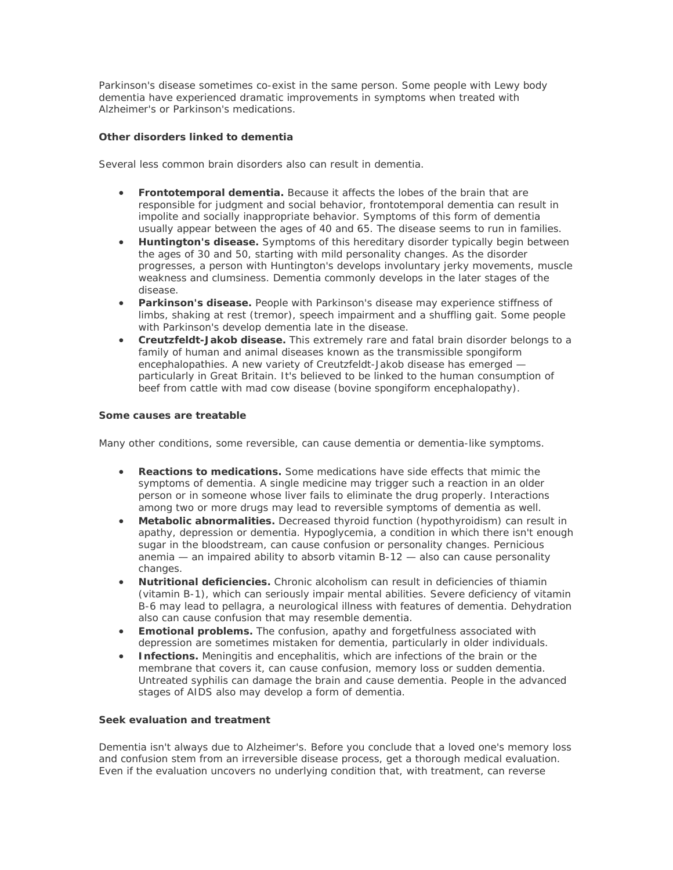Parkinson's disease sometimes co-exist in the same person. Some people with Lewy body dementia have experienced dramatic improvements in symptoms when treated with Alzheimer's or Parkinson's medications.

## **Other disorders linked to dementia**

Several less common brain disorders also can result in dementia.

- **Frontotemporal dementia.** Because it affects the lobes of the brain that are responsible for judgment and social behavior, frontotemporal dementia can result in impolite and socially inappropriate behavior. Symptoms of this form of dementia usually appear between the ages of 40 and 65. The disease seems to run in families.
- **Huntington's disease.** Symptoms of this hereditary disorder typically begin between the ages of 30 and 50, starting with mild personality changes. As the disorder progresses, a person with Huntington's develops involuntary jerky movements, muscle weakness and clumsiness. Dementia commonly develops in the later stages of the disease.
- **Parkinson's disease.** People with Parkinson's disease may experience stiffness of limbs, shaking at rest (tremor), speech impairment and a shuffling gait. Some people with Parkinson's develop dementia late in the disease.
- **Creutzfeldt-Jakob disease.** This extremely rare and fatal brain disorder belongs to a family of human and animal diseases known as the transmissible spongiform encephalopathies. A new variety of Creutzfeldt-Jakob disease has emerged particularly in Great Britain. It's believed to be linked to the human consumption of beef from cattle with mad cow disease (bovine spongiform encephalopathy).

## **Some causes are treatable**

Many other conditions, some reversible, can cause dementia or dementia-like symptoms.

- **Reactions to medications.** Some medications have side effects that mimic the symptoms of dementia. A single medicine may trigger such a reaction in an older person or in someone whose liver fails to eliminate the drug properly. Interactions among two or more drugs may lead to reversible symptoms of dementia as well.
- **Metabolic abnormalities.** Decreased thyroid function (hypothyroidism) can result in apathy, depression or dementia. Hypoglycemia, a condition in which there isn't enough sugar in the bloodstream, can cause confusion or personality changes. Pernicious anemia — an impaired ability to absorb vitamin B-12 — also can cause personality changes.
- **Nutritional deficiencies.** Chronic alcoholism can result in deficiencies of thiamin (vitamin B-1), which can seriously impair mental abilities. Severe deficiency of vitamin B-6 may lead to pellagra, a neurological illness with features of dementia. Dehydration also can cause confusion that may resemble dementia.
- **Emotional problems.** The confusion, apathy and forgetfulness associated with depression are sometimes mistaken for dementia, particularly in older individuals.
- **Infections.** Meningitis and encephalitis, which are infections of the brain or the membrane that covers it, can cause confusion, memory loss or sudden dementia. Untreated syphilis can damage the brain and cause dementia. People in the advanced stages of AIDS also may develop a form of dementia.

## **Seek evaluation and treatment**

Dementia isn't always due to Alzheimer's. Before you conclude that a loved one's memory loss and confusion stem from an irreversible disease process, get a thorough medical evaluation. Even if the evaluation uncovers no underlying condition that, with treatment, can reverse